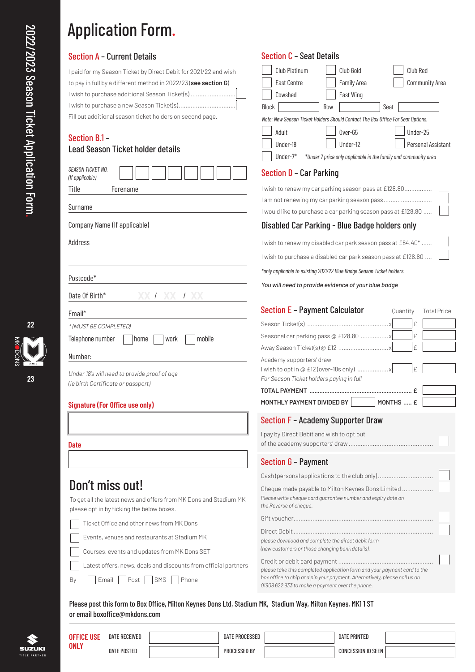## Application Form.

| I paid for my Season Ticket by Direct Debit for 2021/22 and wish |
|------------------------------------------------------------------|
| to pay in full by a different method in 2022/23 (see section G)  |
| I wish to purchase additional Season Ticket(s)                   |
|                                                                  |
| Fill out additional season ticket holders on second page.        |

## Section B.1 –

| <b>Lead Season Ticket holder details</b>                                                                       | Under-18<br>Personal Assistant<br>Under-12<br>Under- $7*$<br>*Under 7 price only applicable in the family and community area                                                                             |  |  |  |  |
|----------------------------------------------------------------------------------------------------------------|----------------------------------------------------------------------------------------------------------------------------------------------------------------------------------------------------------|--|--|--|--|
| <b>SEASON TICKET NO.</b><br>(If applicable)                                                                    | Section D - Car Parking                                                                                                                                                                                  |  |  |  |  |
| Title<br>Forename                                                                                              | I wish to renew my car parking season pass at £128.80                                                                                                                                                    |  |  |  |  |
| Surname                                                                                                        | I am not renewing my car parking season pass<br>I would like to purchase a car parking season pass at £128.80                                                                                            |  |  |  |  |
| Company Name (If applicable)                                                                                   | Disabled Car Parking - Blue Badge holders only                                                                                                                                                           |  |  |  |  |
| Address                                                                                                        | I wish to renew my disabled car park season pass at £64.40*                                                                                                                                              |  |  |  |  |
|                                                                                                                | I wish to purchase a disabled car park season pass at £128.80                                                                                                                                            |  |  |  |  |
|                                                                                                                | *only applicable to existing 2021/22 Blue Badge Season Ticket holders.                                                                                                                                   |  |  |  |  |
| Postcode*                                                                                                      | You will need to provide evidence of your blue badge                                                                                                                                                     |  |  |  |  |
| Date Of Birth*<br>XX 1 XX 1 XX                                                                                 |                                                                                                                                                                                                          |  |  |  |  |
| Email*                                                                                                         | <b>Section E - Payment Calculator</b><br>Quantity<br><b>Total Price</b>                                                                                                                                  |  |  |  |  |
| * (MUST BE COMPLETED)                                                                                          | £                                                                                                                                                                                                        |  |  |  |  |
| Telephone number<br>mobile<br>home<br>work                                                                     | £                                                                                                                                                                                                        |  |  |  |  |
|                                                                                                                | £                                                                                                                                                                                                        |  |  |  |  |
| Number:<br>Under 18's will need to provide proof of age<br>(ie birth Certificate or passport)                  | Academy supporters' draw -<br>£<br>For Season Ticket holders paying in full                                                                                                                              |  |  |  |  |
|                                                                                                                |                                                                                                                                                                                                          |  |  |  |  |
| <b>Signature (For Office use only)</b>                                                                         | MONTHLY PAYMENT DIVIDED BY<br>MONTHS  £                                                                                                                                                                  |  |  |  |  |
|                                                                                                                | Section F - Academy Supporter Draw                                                                                                                                                                       |  |  |  |  |
|                                                                                                                | I pay by Direct Debit and wish to opt out                                                                                                                                                                |  |  |  |  |
| <b>Date</b>                                                                                                    |                                                                                                                                                                                                          |  |  |  |  |
|                                                                                                                | Section G - Payment                                                                                                                                                                                      |  |  |  |  |
|                                                                                                                | Cash (personal applications to the club only)                                                                                                                                                            |  |  |  |  |
| Don't miss out!                                                                                                | Cheque made payable to Milton Keynes Dons Limited                                                                                                                                                        |  |  |  |  |
| To get all the latest news and offers from MK Dons and Stadium MK<br>please opt in by ticking the below boxes. | Please write cheque card guarantee number and expiry date on<br>the Reverse of cheque.                                                                                                                   |  |  |  |  |
| Ticket Office and other news from MK Dons                                                                      |                                                                                                                                                                                                          |  |  |  |  |
| Events, venues and restaurants at Stadium MK                                                                   |                                                                                                                                                                                                          |  |  |  |  |
| Courses, events and updates from MK Dons SET                                                                   | please download and complete the direct debit form<br>(new customers or those changing bank details).                                                                                                    |  |  |  |  |
| Latest offers, news, deals and discounts from official partners                                                |                                                                                                                                                                                                          |  |  |  |  |
| Post<br>SMS<br>Phone<br>Email<br>Вy                                                                            | please take this completed application form and your payment card to the<br>box office to chip and pin your payment. Alternatively, please call us on<br>01908 622 933 to make a payment over the phone. |  |  |  |  |

Club Platinum | Club Gold | Club Red East Centre **Family Area** Community Area

*Note: New Season Ticket Holders Should Contact The Box Office For Seat Options.* Adult 0ver-65 Under-25

Cowshed East Wing Block Row Row Seat

Section C – Seat Details

Please post this form to Box Office, Milton Keynes Dons Ltd, Stadium MK, Stadium Way, Milton Keynes, MK1 1 ST or email boxoffice@mkdons.com



|                              | <b>OFFICE USE</b><br><b>ONLY</b> | DATE RECEIVED      | DATE PROCESSED      | DATE PRINTED       |  |
|------------------------------|----------------------------------|--------------------|---------------------|--------------------|--|
| <b>SUZUKI</b><br>TLE PARTNER |                                  | <b>DATE POSTED</b> | <b>PROCESSED BY</b> | CONCESSION ID SEEN |  |

**23**